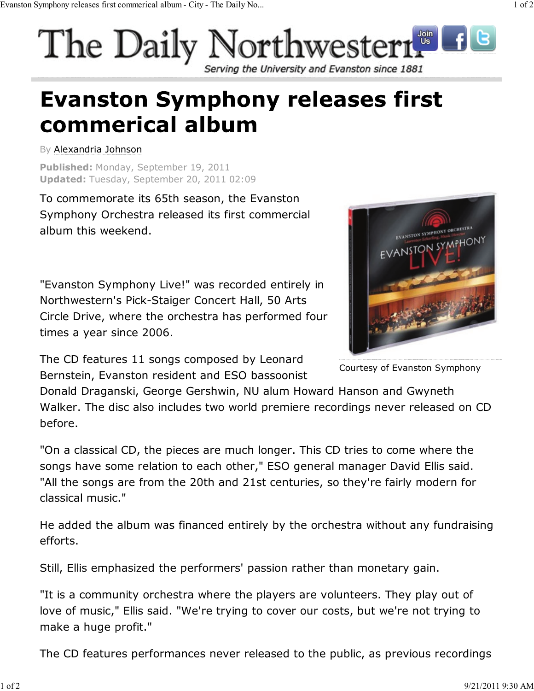## The Daily Northwestern Serving the University and Evanston since 1881

## **Evanston Symphony releases first** commerical album

By Alexandria Johnson

**Published:** Monday, September 19, 2011 **Updated:** Tuesday, September 20, 2011 02:09

To commemorate its 65th season, the Evanston Symphony Orchestra released its first commercial album this weekend.

"Evanston Symphony Live!" was recorded entirely in Northwestern's Pick-Staiger Concert Hall, 50 Arts Circle Drive, where the orchestra has performed four times a year since 2006.

The CD features 11 songs composed by Leonard Bernstein, Evanston resident and ESO bassoonist

VANSTON SYMPHONY ORCHESTRA EVANSTON SYMPHONY

Courtesy of Evanston Symphony

Donald Draganski, George Gershwin, NU alum Howard Hanson and Gwyneth Walker. The disc also includes two world premiere recordings never released on CD before.

"On a classical CD, the pieces are much longer. This CD tries to come where the songs have some relation to each other," ESO general manager David Ellis said. "All the songs are from the 20th and 21st centuries, so they're fairly modern for classical music."

He added the album was financed entirely by the orchestra without any fundraising efforts.

Still, Ellis emphasized the performers' passion rather than monetary gain.

"It is a community orchestra where the players are volunteers. They play out of love of music," Ellis said. "We're trying to cover our costs, but we're not trying to make a huge profit."

The CD features performances never released to the public, as previous recordings